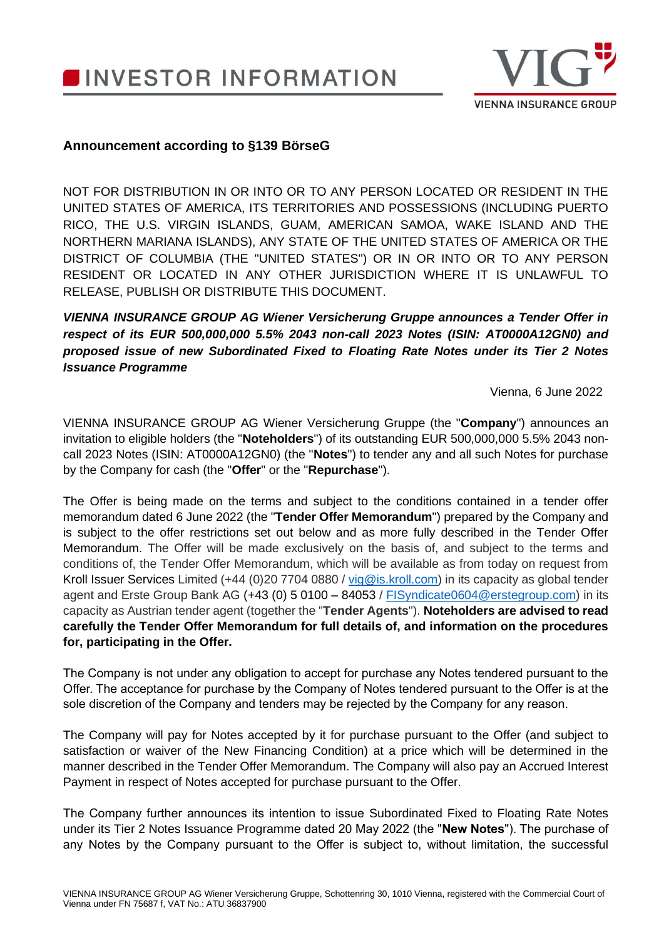**INVESTOR INFORMATION** 



## **Announcement according to §139 BörseG**

NOT FOR DISTRIBUTION IN OR INTO OR TO ANY PERSON LOCATED OR RESIDENT IN THE UNITED STATES OF AMERICA, ITS TERRITORIES AND POSSESSIONS (INCLUDING PUERTO RICO, THE U.S. VIRGIN ISLANDS, GUAM, AMERICAN SAMOA, WAKE ISLAND AND THE NORTHERN MARIANA ISLANDS), ANY STATE OF THE UNITED STATES OF AMERICA OR THE DISTRICT OF COLUMBIA (THE "UNITED STATES") OR IN OR INTO OR TO ANY PERSON RESIDENT OR LOCATED IN ANY OTHER JURISDICTION WHERE IT IS UNLAWFUL TO RELEASE, PUBLISH OR DISTRIBUTE THIS DOCUMENT.

*VIENNA INSURANCE GROUP AG Wiener Versicherung Gruppe announces a Tender Offer in respect of its EUR 500,000,000 5.5% 2043 non-call 2023 Notes (ISIN: AT0000A12GN0) and proposed issue of new Subordinated Fixed to Floating Rate Notes under its Tier 2 Notes Issuance Programme*

Vienna, 6 June 2022

VIENNA INSURANCE GROUP AG Wiener Versicherung Gruppe (the "**Company**") announces an invitation to eligible holders (the "**Noteholders**") of its outstanding EUR 500,000,000 5.5% 2043 noncall 2023 Notes (ISIN: AT0000A12GN0) (the "**Notes**") to tender any and all such Notes for purchase by the Company for cash (the "**Offer**" or the "**Repurchase**").

The Offer is being made on the terms and subject to the conditions contained in a tender offer memorandum dated 6 June 2022 (the "**Tender Offer Memorandum**") prepared by the Company and is subject to the offer restrictions set out below and as more fully described in the Tender Offer Memorandum. The Offer will be made exclusively on the basis of, and subject to the terms and conditions of, the Tender Offer Memorandum, which will be available as from today on request from Kroll Issuer Services Limited (+44 (0)20 7704 0880 / [vig@is.kroll.com\)](mailto:vig@is.kroll.com) in its capacity as global tender agent and Erste Group Bank AG (+43 (0) 5 0100 – 84053 / [FISyndicate0604@erstegroup.com\)](mailto:FISyndicate0604@erstegroup.com) in its capacity as Austrian tender agent (together the "**Tender Agents**"). **Noteholders are advised to read carefully the Tender Offer Memorandum for full details of, and information on the procedures for, participating in the Offer.**

The Company is not under any obligation to accept for purchase any Notes tendered pursuant to the Offer. The acceptance for purchase by the Company of Notes tendered pursuant to the Offer is at the sole discretion of the Company and tenders may be rejected by the Company for any reason.

The Company will pay for Notes accepted by it for purchase pursuant to the Offer (and subject to satisfaction or waiver of the New Financing Condition) at a price which will be determined in the manner described in the Tender Offer Memorandum. The Company will also pay an Accrued Interest Payment in respect of Notes accepted for purchase pursuant to the Offer.

The Company further announces its intention to issue Subordinated Fixed to Floating Rate Notes under its Tier 2 Notes Issuance Programme dated 20 May 2022 (the "**New Notes**"). The purchase of any Notes by the Company pursuant to the Offer is subject to, without limitation, the successful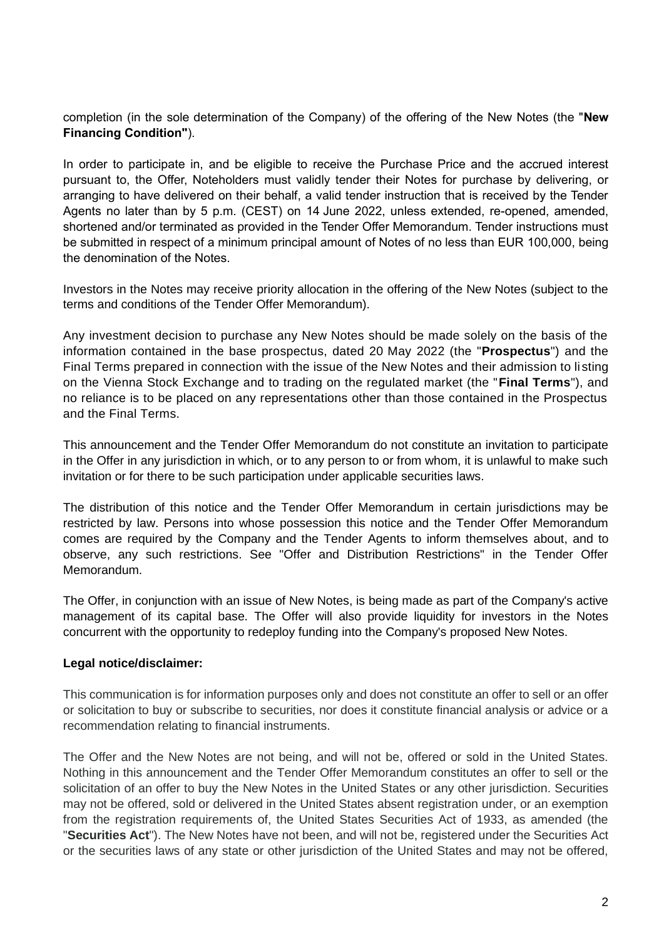completion (in the sole determination of the Company) of the offering of the New Notes (the "**New Financing Condition"**).

In order to participate in, and be eligible to receive the Purchase Price and the accrued interest pursuant to, the Offer, Noteholders must validly tender their Notes for purchase by delivering, or arranging to have delivered on their behalf, a valid tender instruction that is received by the Tender Agents no later than by 5 p.m. (CEST) on 14 June 2022, unless extended, re-opened, amended, shortened and/or terminated as provided in the Tender Offer Memorandum. Tender instructions must be submitted in respect of a minimum principal amount of Notes of no less than EUR 100,000, being the denomination of the Notes.

Investors in the Notes may receive priority allocation in the offering of the New Notes (subject to the terms and conditions of the Tender Offer Memorandum).

Any investment decision to purchase any New Notes should be made solely on the basis of the information contained in the base prospectus, dated 20 May 2022 (the "**Prospectus**") and the Final Terms prepared in connection with the issue of the New Notes and their admission to li sting on the Vienna Stock Exchange and to trading on the regulated market (the "**Final Terms**"), and no reliance is to be placed on any representations other than those contained in the Prospectus and the Final Terms.

This announcement and the Tender Offer Memorandum do not constitute an invitation to participate in the Offer in any jurisdiction in which, or to any person to or from whom, it is unlawful to make such invitation or for there to be such participation under applicable securities laws.

The distribution of this notice and the Tender Offer Memorandum in certain jurisdictions may be restricted by law. Persons into whose possession this notice and the Tender Offer Memorandum comes are required by the Company and the Tender Agents to inform themselves about, and to observe, any such restrictions. See "Offer and Distribution Restrictions" in the Tender Offer Memorandum.

The Offer, in conjunction with an issue of New Notes, is being made as part of the Company's active management of its capital base. The Offer will also provide liquidity for investors in the Notes concurrent with the opportunity to redeploy funding into the Company's proposed New Notes.

## **Legal notice/disclaimer:**

This communication is for information purposes only and does not constitute an offer to sell or an offer or solicitation to buy or subscribe to securities, nor does it constitute financial analysis or advice or a recommendation relating to financial instruments.

The Offer and the New Notes are not being, and will not be, offered or sold in the United States. Nothing in this announcement and the Tender Offer Memorandum constitutes an offer to sell or the solicitation of an offer to buy the New Notes in the United States or any other jurisdiction. Securities may not be offered, sold or delivered in the United States absent registration under, or an exemption from the registration requirements of, the United States Securities Act of 1933, as amended (the "**Securities Act**"). The New Notes have not been, and will not be, registered under the Securities Act or the securities laws of any state or other jurisdiction of the United States and may not be offered,